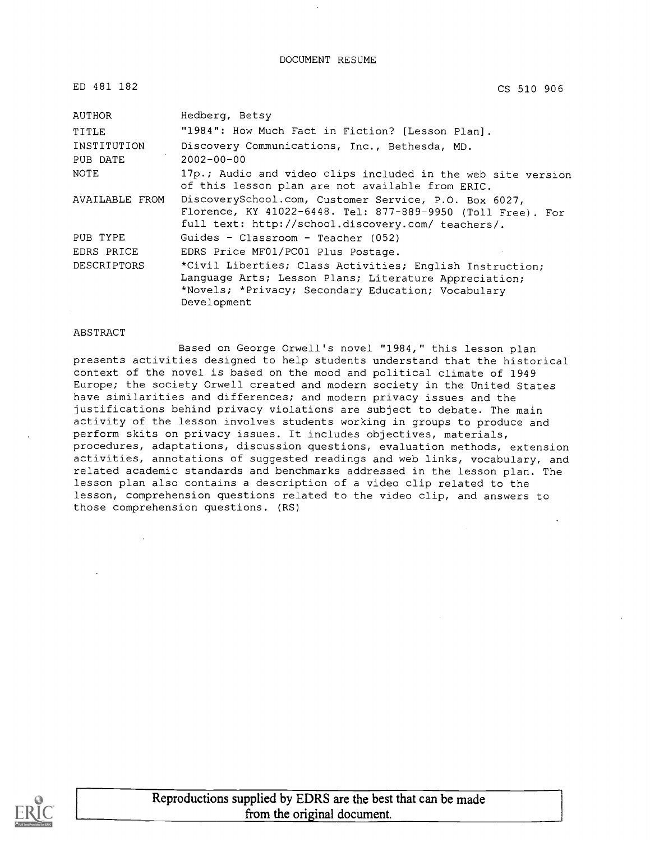#### DOCUMENT RESUME

ED 481 182

CS 510 906

| AUTHOR         | Hedberg, Betsy                                                                                                                                                             |
|----------------|----------------------------------------------------------------------------------------------------------------------------------------------------------------------------|
| TITLE          | "1984": How Much Fact in Fiction? [Lesson Plan].                                                                                                                           |
| INSTITUTION    | Discovery Communications, Inc., Bethesda, MD.                                                                                                                              |
| PUB DATE       | $2002 - 00 - 00$                                                                                                                                                           |
| NOTE           | 17p.; Audio and video clips included in the web site version<br>of this lesson plan are not available from ERIC.                                                           |
| AVAILABLE FROM | DiscoverySchool.com, Customer Service, P.O. Box 6027,<br>Florence, KY 41022-6448. Tel: 877-889-9950 (Toll Free). For<br>full text: http://school.discovery.com/ teachers/. |
| PUB TYPE       | Guides - Classroom - Teacher (052)                                                                                                                                         |
| EDRS PRICE     | EDRS Price MF01/PC01 Plus Postage.                                                                                                                                         |
| DESCRIPTORS    | *Civil Liberties; Class Activities; English Instruction;                                                                                                                   |
|                | Language Arts; Lesson Plans; Literature Appreciation;                                                                                                                      |
|                | *Novels; *Privacy; Secondary Education; Vocabulary                                                                                                                         |
|                | Development                                                                                                                                                                |

#### ABSTRACT

Based on George Orwell's novel "1984," this lesson plan presents activities designed to help students understand that the historical context of the novel is based on the mood and political climate of 1949 Europe; the society Orwell created and modern society in the United States have similarities and differences; and modern privacy issues and the justifications behind privacy violations are subject to debate. The main activity of the lesson involves students working in groups to produce and perform skits on privacy issues. It includes objectives, materials, procedures, adaptations, discussion questions, evaluation methods, extension activities, annotations of suggested readings and web links, vocabulary, and related academic standards and benchmarks addressed in the lesson plan. The lesson plan also contains a description of a video clip related to the lesson, comprehension questions related to the video clip, and answers to those comprehension questions. (RS)

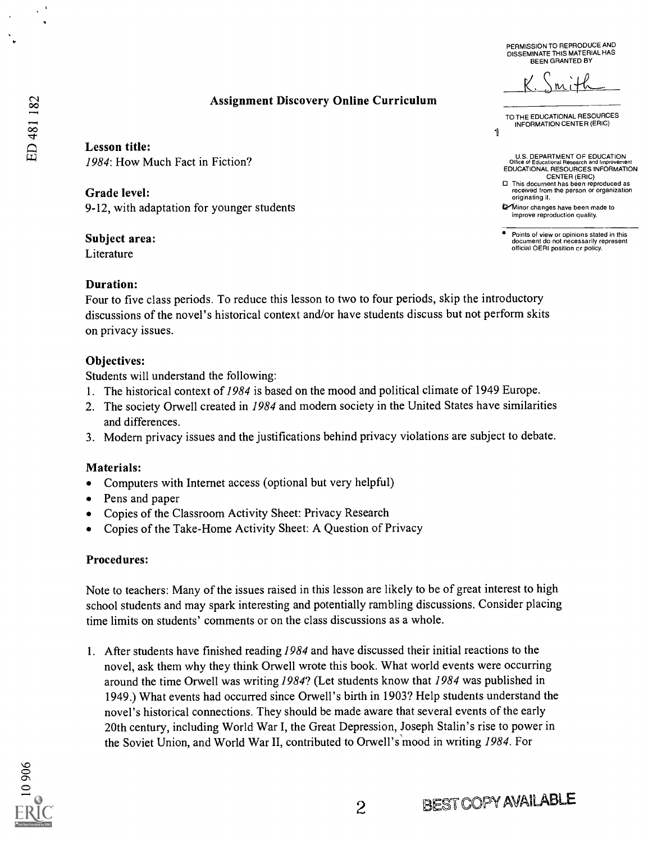PERMISSION TO REPRODUCE AND DISSEMINATE THIS MATERIAL HAS BEEN GRANTED BY

 $M$ 

TO THE EDUCATIONAL RESOURCES INFORMATION CENTER (ERIC)

b4Ainor changes have been made to improve reproduction quality.

originating it.

1

U.S. DEPARTMENT OF EDUCATION Office of Educational Research and Improvement EDUCATIONAL RESOURCES INFORMATION CENTER (ERIC) 0 This document has been reproduced as received from the person or organization

Points of view or opinions stated in this document do not necessarily represent official OERI position cr policy.

### Assignment Discovery Online Curriculum

Lesson title: 1984: How Much Fact in Fiction?

Grade level: 9-12, with adaptation for younger students

#### Subject area:

Literature

#### Duration:

Four to five class periods. To reduce this lesson to two to four periods, skip the introductory discussions of the novel's historical context and/or have students discuss but not perform skits on privacy issues.

#### Objectives:

Students will understand the following:

- 1. The historical context of 1984 is based on the mood and political climate of 1949 Europe.
- 2. The society Orwell created in 1984 and modem society in the United States have similarities and differences.
- 3. Modern privacy issues and the justifications behind privacy violations are subject to debate.

#### Materials:

- Computers with Internet access (optional but very helpful)
- Pens and paper
- Copies of the Classroom Activity Sheet: Privacy Research
- Copies of the Take-Home Activity Sheet: A Question of Privacy

#### Procedures:

Note to teachers: Many of the issues raised in this lesson are likely to be of great interest to high school students and may spark interesting and potentially rambling discussions. Consider placing time limits on students' comments or on the class discussions as a whole.

I. After students have finished reading 1984 and have discussed their initial reactions to the novel, ask them why they think Orwell wrote this book. What world events were occurring around the time Orwell was writing 1984? (Let students know that 1984 was published in 1949.) What events had occurred since Orwell's birth in 1903? Help students understand the novel's historical connections. They should be made aware that several events of the early 20th century, including World War I, the Great Depression, Joseph Stalin's rise to power in the Soviet Union, and World War II, contributed to Orwell's mood in writing 1984. For



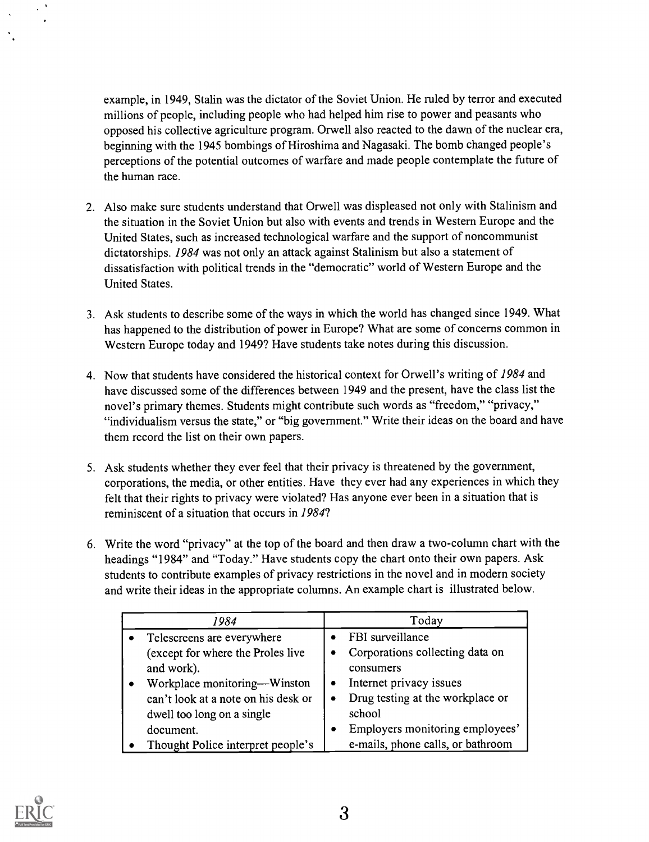example, in 1949, Stalin was the dictator of the Soviet Union. He ruled by terror and executed millions of people, including people who had helped him rise to power and peasants who opposed his collective agriculture program. Orwell also reacted to the dawn of the nuclear era, beginning with the 1945 bombings of Hiroshima and Nagasaki. The bomb changed people's perceptions of the potential outcomes of warfare and made people contemplate the future of the human race.

- 2. Also make sure students understand that Orwell was displeased not only with Stalinism and the situation in the Soviet Union but also with events and trends in Western Europe and the United States, such as increased technological warfare and the support of noncommunist dictatorships. 1984 was not only an attack against Stalinism but also a statement of dissatisfaction with political trends in the "democratic" world of Western Europe and the United States.
- 3. Ask students to describe some of the ways in which the world has changed since 1949. What has happened to the distribution of power in Europe? What are some of concerns common in Western Europe today and 1949? Have students take notes during this discussion.
- 4. Now that students have considered the historical context for Orwell's writing of 1984 and have discussed some of the differences between 1949 and the present, have the class list the novel's primary themes. Students might contribute such words as "freedom," "privacy," "individualism versus the state," or "big government." Write their ideas on the board and have them record the list on their own papers.
- 5. Ask students whether they ever feel that their privacy is threatened by the government, corporations, the media, or other entities. Have they ever had any experiences in which they felt that their rights to privacy were violated? Has anyone ever been in a situation that is reminiscent of a situation that occurs in 1984?
- 6. Write the word "privacy" at the top of the board and then draw a two-column chart with the headings "1984" and "Today." Have students copy the chart onto their own papers. Ask students to contribute examples of privacy restrictions in the novel and in modern society and write their ideas in the appropriate columns. An example chart is illustrated below.

| 1984                         |                                     | Today     |                                   |  |
|------------------------------|-------------------------------------|-----------|-----------------------------------|--|
|                              | Telescreens are everywhere          |           | FBI surveillance                  |  |
|                              | (except for where the Proles live   | ٠         | Corporations collecting data on   |  |
|                              | and work).                          |           | consumers                         |  |
| Workplace monitoring—Winston |                                     | $\bullet$ | Internet privacy issues           |  |
|                              | can't look at a note on his desk or | $\bullet$ | Drug testing at the workplace or  |  |
|                              | dwell too long on a single          |           | school                            |  |
|                              | document.                           | ۰         | Employers monitoring employees'   |  |
|                              | Thought Police interpret people's   |           | e-mails, phone calls, or bathroom |  |

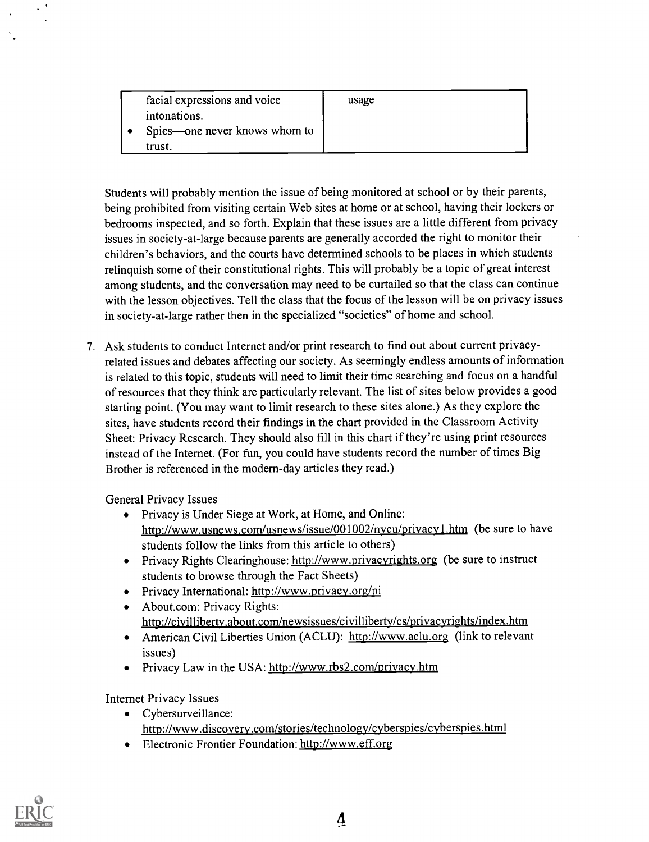| facial expressions and voice  | usage |  |
|-------------------------------|-------|--|
| intonations.                  |       |  |
| Spies—one never knows whom to |       |  |
| trust.                        |       |  |

Students will probably mention the issue of being monitored at school or by their parents, being prohibited from visiting certain Web sites at home or at school, having their lockers or bedrooms inspected, and so forth. Explain that these issues are a little different from privacy issues in society-at-large because parents are generally accorded the right to monitor their children's behaviors, and the courts have determined schools to be places in which students relinquish some of their constitutional rights. This will probably be a topic of great interest among students, and the conversation may need to be curtailed so that the class can continue with the lesson objectives. Tell the class that the focus of the lesson will be on privacy issues in society-at-large rather then in the specialized "societies" of home and school.

7. Ask students to conduct Internet and/or print research to find out about current privacyrelated issues and debates affecting our society. As seemingly endless amounts of information is related to this topic, students will need to limit their time searching and focus on a handful of resources that they think are particularly relevant. The list of sites below provides a good starting point. (You may want to limit research to these sites alone.) As they explore the sites, have students record their findings in the chart provided in the Classroom Activity Sheet: Privacy Research. They should also fill in this chart if they're using print resources instead of the Internet. (For fun, you could have students record the number of times Big Brother is referenced in the modern-day articles they read.)

General Privacy Issues

- Privacy is Under Siege at Work, at Home, and Online: http://www.usnews.com/usnews/issue/001002/nvcu/privacv1 .htm (be sure to have students follow the links from this article to others)
- Privacy Rights Clearinghouse: http://www.privacyrights.org (be sure to instruct students to browse through the Fact Sheets)
- Privacy International: http://www.privacv.org/pi
- About.com: Privacy Rights: http://civilliberty.about.com/newsissues/civilliberty/cs/privacyrights/index.htm
- American Civil Liberties Union (ACLU): http://www.aclu.org (link to relevant issues)
- Privacy Law in the USA: http://www.rbs2.com/privacy.htm

Internet Privacy Issues

- Cybersurveillance: http://www.discovery.com/stories/technology/cyberspies/cyberspies.html
- Electronic Frontier Foundation: http://www.eff.org

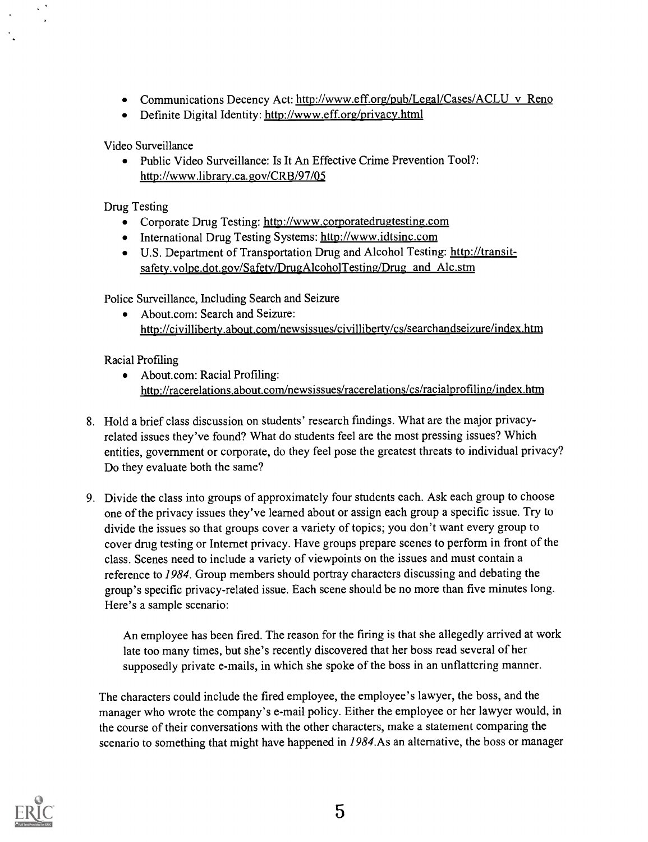- Communications Decency Act: http://www.eff.org/pub/Legal/Cases/ACLU v Reno
- Definite Digital Identity: http://www.eff.org/privacy.html

Video Surveillance

Public Video Surveillance: Is It An Effective Crime Prevention Tool?: http://www.librarv.ca.gov/CRB/97/05

Drug Testing

- Corporate Drug Testing: http://www.corporatedrugtesting.com
- International Drug Testing Systems: http://www.idtsinc.com
- U.S. Department of Transportation Drug and Alcohol Testing: http://transitsafety.volpe.dot.gov/Safety/DrugAlcoholTesting/Drug and Alc.stm

Police Surveillance, Including Search and Seizure

About.com: Search and Seizure: http://civilliberty.about.com/newsissues/civillibertv/cs/searchandseizure/index.htm

Racial Profiling

- About.com: Racial Profiling: http://racerelations.about.com/newsissues/racerelations/cs/racialprofiling/index.htm
- 8. Hold a brief class discussion on students' research fmdings. What are the major privacyrelated issues they've found? What do students feel are the most pressing issues? Which entities, government or corporate, do they feel pose the greatest threats to individual privacy? Do they evaluate both the same?
- 9. Divide the class into groups of approximately four students each. Ask each group to choose one of the privacy issues they've learned about or assign each group a specific issue. Try to divide the issues so that groups cover a variety of topics; you don't want every group to cover drug testing or Internet privacy. Have groups prepare scenes to perform in front of the class. Scenes need to include a variety of viewpoints on the issues and must contain a reference to 1984. Group members should portray characters discussing and debating the group's specific privacy-related issue. Each scene should be no more than five minutes long. Here's a sample scenario:

An employee has been fired. The reason for the firing is that she allegedly arrived at work late too many times, but she's recently discovered that her boss read several of her supposedly private e-mails, in which she spoke of the boss in an unflattering manner.

The characters could include the fired employee, the employee's lawyer, the boss, and the manager who wrote the company's e-mail policy. Either the employee or her lawyer would, in the course of their conversations with the other characters, make a statement comparing the scenario to something that might have happened in 1984.As an alternative, the boss or manager

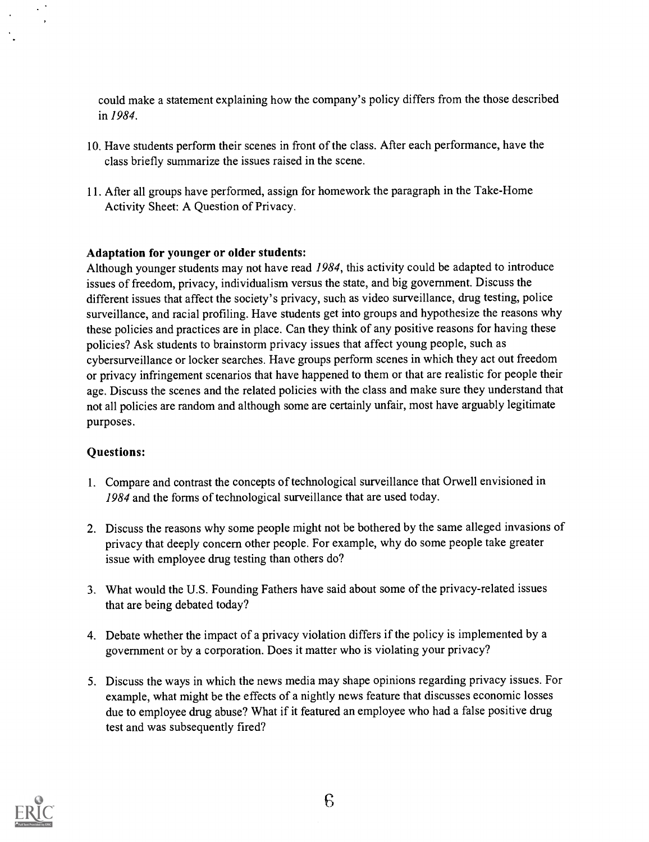could make a statement explaining how the company's policy differs from the those described in 1984.

- 10. Have students perform their scenes in front of the class. After each performance, have the class briefly summarize the issues raised in the scene.
- 11. After all groups have performed, assign for homework the paragraph in the Take-Home Activity Sheet: A Question of Privacy.

#### Adaptation for younger or older students:

Although younger students may not have read 1984, this activity could be adapted to introduce issues of freedom, privacy, individualism versus the state, and big government. Discuss the different issues that affect the society's privacy, such as video surveillance, drug testing, police surveillance, and racial profiling. Have students get into groups and hypothesize the reasons why these policies and practices are in place. Can they think of any positive reasons for having these policies? Ask students to brainstorm privacy issues that affect young people, such as cybersurveillance or locker searches. Have groups perform scenes in which they act out freedom or privacy infringement scenarios that have happened to them or that are realistic for people their age. Discuss the scenes and the related policies with the class and make sure they understand that not all policies are random and although some are certainly unfair, most have arguably legitimate purposes.

#### Questions:

 $\cdot$ 

- 1. Compare and contrast the concepts of technological surveillance that Orwell envisioned in 1984 and the forms of technological surveillance that are used today.
- 2. Discuss the reasons why some people might not be bothered by the same alleged invasions of privacy that deeply concern other people. For example, why do some people take greater issue with employee drug testing than others do?
- 3. What would the U.S. Founding Fathers have said about some of the privacy-related issues that are being debated today?
- 4. Debate whether the impact of a privacy violation differs if the policy is implemented by a government or by a corporation. Does it matter who is violating your privacy?
- 5. Discuss the ways in which the news media may shape opinions regarding privacy issues. For example, what might be the effects of a nightly news feature that discusses economic losses due to employee drug abuse? What if it featured an employee who had a false positive drug test and was subsequently fired?

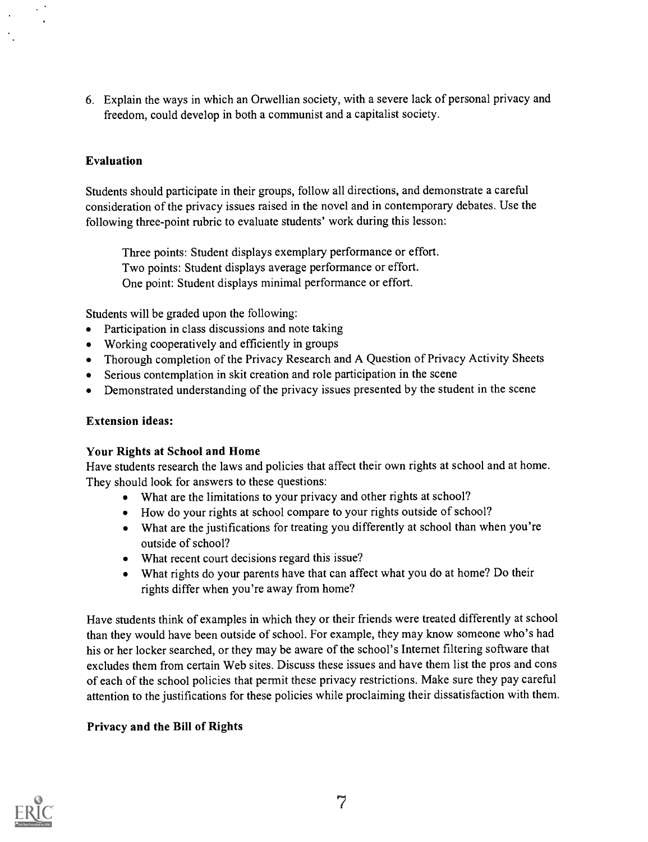6. Explain the ways in which an Orwellian society, with a severe lack of personal privacy and freedom, could develop in both a communist and a capitalist society.

### Evaluation

 $\ddot{\phantom{0}}$ 

Students should participate in their groups, follow all directions, and demonstrate a careful consideration of the privacy issues raised in the novel and in contemporary debates. Use the following three-point rubric to evaluate students' work during this lesson:

Three points: Student displays exemplary performance or effort. Two points: Student displays average performance or effort. One point: Student displays minimal performance or effort.

Students will be graded upon the following:

- Participation in class discussions and note taking
- Working cooperatively and efficiently in groups
- Thorough completion of the Privacy Research and A Question of Privacy Activity Sheets
- Serious contemplation in skit creation and role participation in the scene
- Demonstrated understanding of the privacy issues presented by the student in the scene

#### Extension ideas:

#### Your Rights at School and Home

Have students research the laws and policies that affect their own rights at school and at home. They should look for answers to these questions:

- What are the limitations to your privacy and other rights at school?
- How do your rights at school compare to your rights outside of school?
- What are the justifications for treating you differently at school than when you're outside of school?
- What recent court decisions regard this issue?
- What rights do your parents have that can affect what you do at home? Do their rights differ when you're away from home?

Have students think of examples in which they or their friends were treated differently at school than they would have been outside of school. For example, they may know someone who's had his or her locker searched, or they may be aware of the school's Internet filtering software that excludes them from certain Web sites. Discuss these issues and have them list the pros and cons of each of the school policies that permit these privacy restrictions. Make sure they pay careful attention to the justifications for these policies while proclaiming their dissatisfaction with them.

#### Privacy and the Bill of Rights

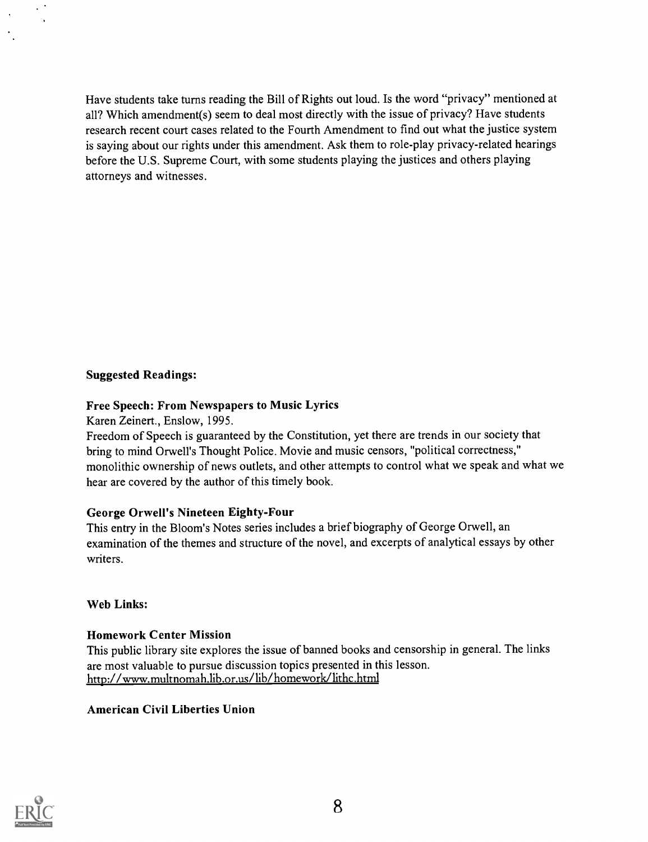Have students take turns reading the Bill of Rights out loud. Is the word "privacy" mentioned at all? Which amendment(s) seem to deal most directly with the issue of privacy? Have students research recent court cases related to the Fourth Amendment to find out what the justice system is saying about our rights under this amendment. Ask them to role-play privacy-related hearings before the U.S. Supreme Court, with some students playing the justices and others playing attorneys and witnesses.

### Suggested Readings:

### Free Speech: From Newspapers to Music Lyrics

Karen Zeinert., Enslow, 1995.

Freedom of Speech is guaranteed by the Constitution, yet there are trends in our society that bring to mind Orwell's Thought Police. Movie and music censors, "political correctness," monolithic ownership of news outlets, and other attempts to control what we speak and what we hear are covered by the author of this timely book.

#### George Orwell's Nineteen Eighty-Four

This entry in the Bloom's Notes series includes a brief biography of George Orwell, an examination of the themes and structure of the novel, and excerpts of analytical essays by other writers.

Web Links:

#### Homework Center Mission

This public library site explores the issue of banned books and censorship in general. The links are most valuable to pursue discussion topics presented in this lesson. http://www.multnomah.lib.or.us/lib/homework/lithc.html

American Civil Liberties Union

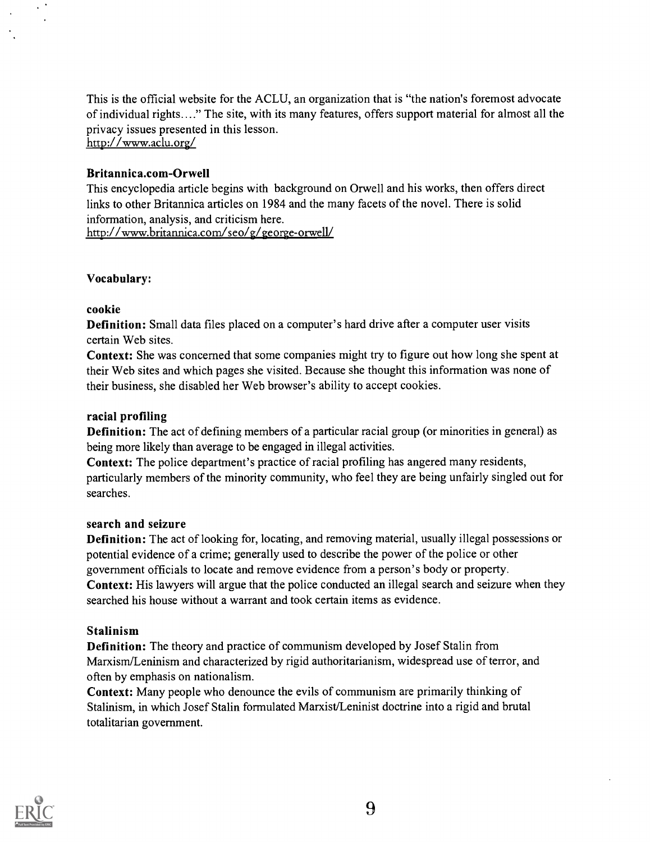This is the official website for the ACLU, an organization that is "the nation's foremost advocate of individual rights...." The site, with its many features, offers support material for almost all the privacy issues presented in this lesson. http://www.aclu.org/

#### Britannica.com-Orwell

This encyclopedia article begins with background on Orwell and his works, then offers direct links to other Britannica articles on 1984 and the many facets of the novel. There is solid information, analysis, and criticism here. http://www.britannica.com/seo/g/george-orwell/

#### Vocabulary:

#### cookie

Definition: Small data files placed on a computer's hard drive after a computer user visits certain Web sites.

Context: She was concerned that some companies might try to figure out how long she spent at their Web sites and which pages she visited. Because she thought this information was none of their business, she disabled her Web browser's ability to accept cookies.

#### racial profiling

Definition: The act of defining members of a particular racial group (or minorities in general) as being more likely than average to be engaged in illegal activities.

Context: The police department's practice of racial profiling has angered many residents, particularly members of the minority community, who feel they are being unfairly singled out for searches.

#### search and seizure

Definition: The act of looking for, locating, and removing material, usually illegal possessions or potential evidence of a crime; generally used to describe the power of the police or other government officials to locate and remove evidence from a person's body or property. Context: His lawyers will argue that the police conducted an illegal search and seizure when they searched his house without a warrant and took certain items as evidence.

#### Stalinism

Definition: The theory and practice of communism developed by Josef Stalin from Marxism/Leninism and characterized by rigid authoritarianism, widespread use of terror, and often by emphasis on nationalism.

Context: Many people who denounce the evils of communism are primarily thinking of Stalinism, in which Josef Stalin formulated Marxist/Leninist doctrine into a rigid and brutal totalitarian government.

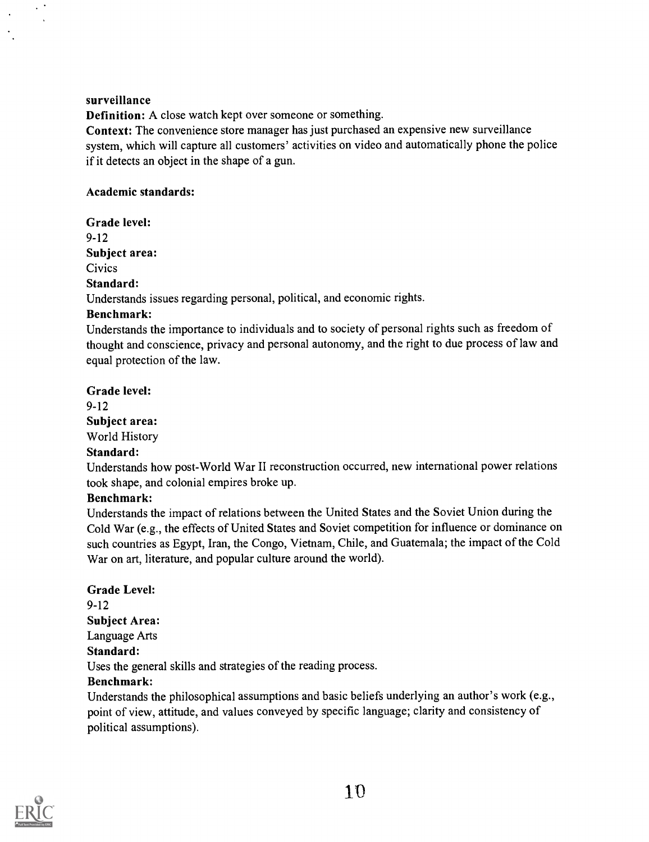#### surveillance

Definition: A close watch kept over someone or something.

Context: The convenience store manager has just purchased an expensive new surveillance system, which will capture all customers' activities on video and automatically phone the police if it detects an object in the shape of a gun.

#### Academic standards:

Grade level: 9-12 Subject area:

**Civics** 

#### Standard:

Understands issues regarding personal, political, and economic rights.

#### Benchmark:

Understands the importance to individuals and to society of personal rights such as freedom of thought and conscience, privacy and personal autonomy, and the right to due process of law and equal protection of the law.

Grade level:

9-12 Subject area: World History

#### Standard:

Understands how post-World War II reconstruction occurred, new international power relations took shape, and colonial empires broke up.

#### Benchmark:

Understands the impact of relations between the United States and the Soviet Union during the Cold War (e.g., the effects of United States and Soviet competition for influence or dominance on such countries as Egypt, Iran, the Congo, Vietnam, Chile, and Guatemala; the impact of the Cold War on art, literature, and popular culture around the world).

Grade Level: 9-12 Subject Area: Language Arts Standard: Uses the general skills and strategies of the reading process. Benchmark: Understands the philosophical assumptions and basic beliefs underlying an author's work (e.g., point of view, attitude, and values conveyed by specific language; clarity and consistency of



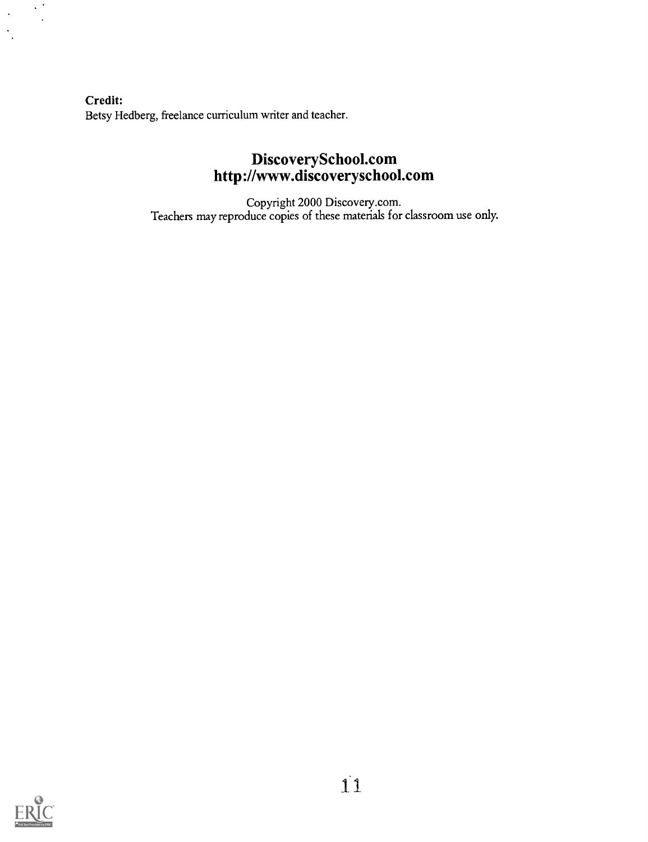Credit: Betsy Hedberg, freelance curriculum writer and teacher.

# DiscoverySchool.com http://www.discoveryschool.com

Copyright 2000 Discovery.com. Teachers may reproduce copies of these materials for classroom use only.



 $\sim$   $^{\circ}$ 

 $\mathcal{A}$ 

 $\ddot{\phantom{a}}$ 

 $\mathcal{F}_1$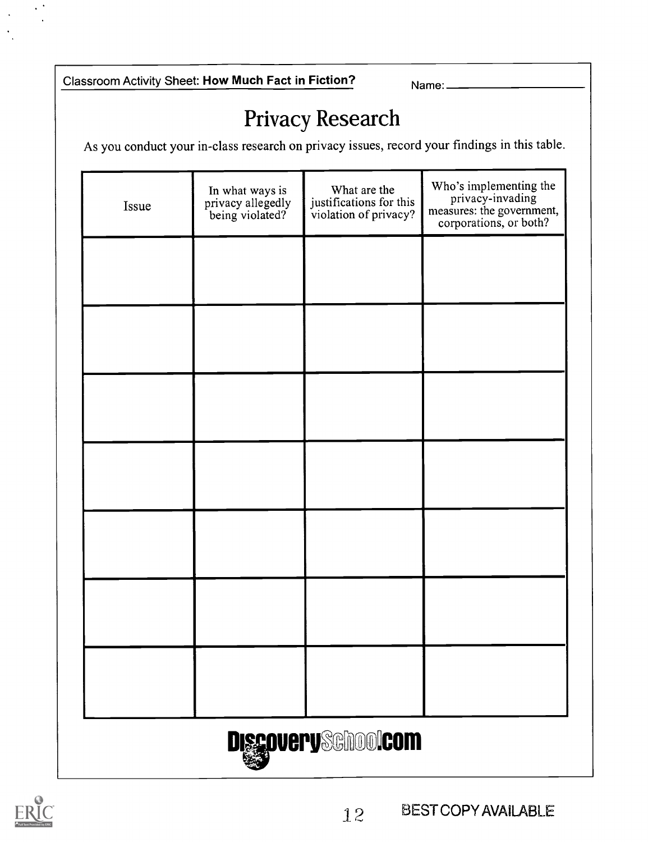Classroom Activity Sheet: How Much Fact in Fiction? Name:

# Privacy Research

As you conduct your in-class research on privacy issues, record your findings in this table.

| Issue                     | In what ways is<br>privacy allegedly<br>being violated? | What are the<br>justifications for this<br>violation of privacy? | Who's implementing the<br>privacy-invading<br>measures: the government,<br>corporations, or both? |  |  |  |
|---------------------------|---------------------------------------------------------|------------------------------------------------------------------|---------------------------------------------------------------------------------------------------|--|--|--|
|                           |                                                         |                                                                  |                                                                                                   |  |  |  |
|                           |                                                         |                                                                  |                                                                                                   |  |  |  |
|                           |                                                         |                                                                  |                                                                                                   |  |  |  |
|                           |                                                         |                                                                  |                                                                                                   |  |  |  |
|                           |                                                         |                                                                  |                                                                                                   |  |  |  |
|                           |                                                         |                                                                  |                                                                                                   |  |  |  |
|                           |                                                         |                                                                  |                                                                                                   |  |  |  |
| <b>DiscoverySchoolcom</b> |                                                         |                                                                  |                                                                                                   |  |  |  |



 $\ddot{\phantom{1}}$ 

12 BEST COPY AVAILABLE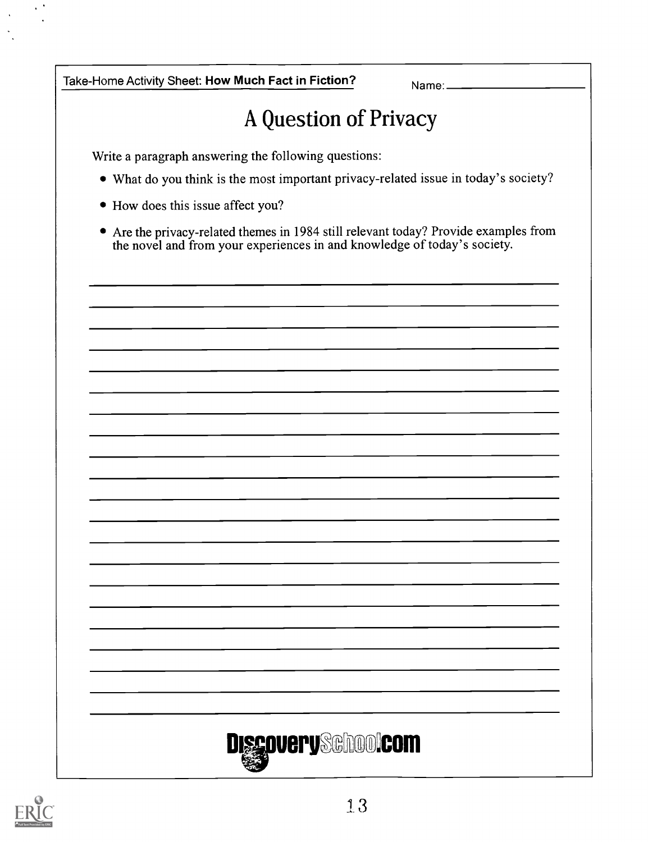Take-Home Activity Sheet: How Much Fact in Fiction? Name: Name.

# A Question of Privacy

Write a paragraph answering the following questions:

- What do you think is the most important privacy-related issue in today's society?
- How does this issue affect you?
- Are the privacy-related themes in 1984 still relevant today? Provide examples from the novel and from your experiences in and knowledge of today's society.



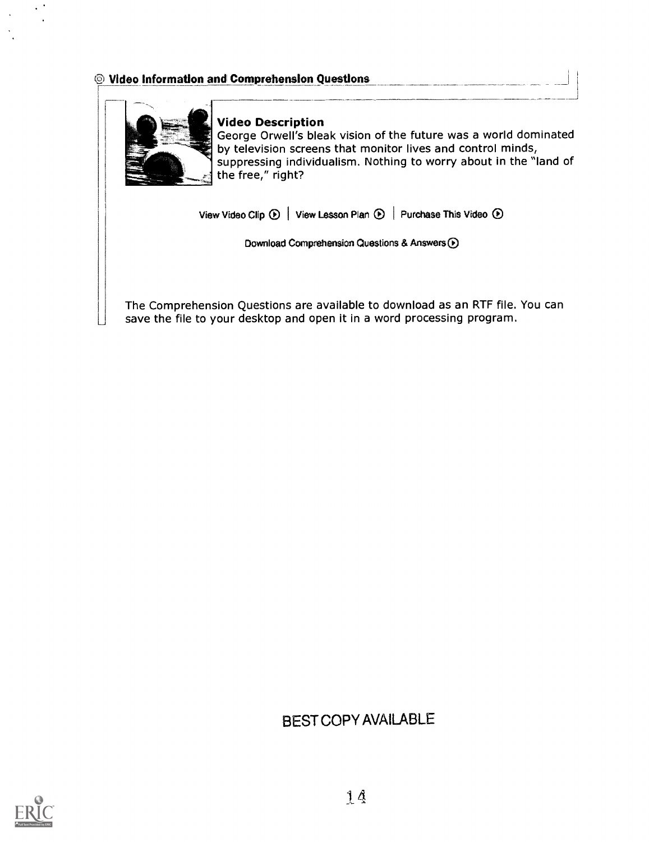### © Video information and Comprehension Questions



#### Video Description

George Orwell's bleak vision of the future was a world dominated by television screens that monitor lives and control minds, suppressing individualism. Nothing to worry about in the "land of the free," right?

View Video Clip  $\odot$  | View Lesson Plan  $\odot$  | Purchase This Video  $\odot$ 

Download Comprehension Questions & Answers  $\bigodot$ 

The Comprehension Questions are available to download as an RTF file. You can save the file to your desktop and open it in a word processing program.

# BEST COPY AVAILABLE

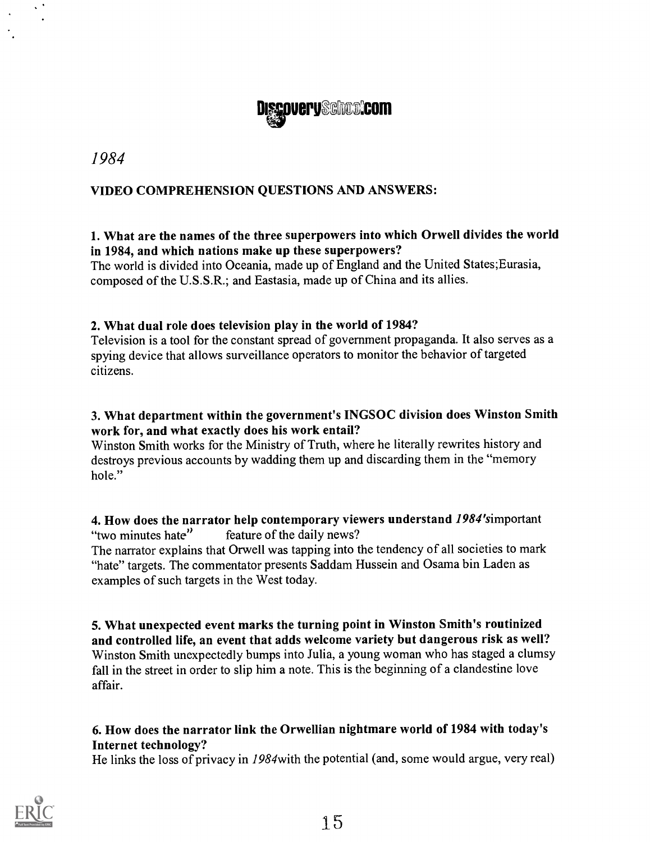

1984

# VIDEO COMPREHENSION QUESTIONS AND ANSWERS:

## 1. What are the names of the three superpowers into which Orwell divides the world in 1984, and which nations make up these superpowers?

The world is divided into Oceania, made up of England and the United States;Eurasia, composed of the U.S.S.R.; and Eastasia, made up of China and its allies.

## 2. What dual role does television play in the world of 1984?

Television is a tool for the constant spread of government propaganda. It also serves as a spying device that allows surveillance operators to monitor the behavior of targeted citizens.

## 3. What department within the government's INGSOC division does Winston Smith work for, and what exactly does his work entail?

Winston Smith works for the Ministry of Truth, where he literally rewrites history and destroys previous accounts by wadding them up and discarding them in the "memory hole."

## **4. How does the narrator help contemporary viewers understand 1984's important "two minutes hate"** feature of the daily news? feature of the daily news?

The narrator explains that Orwell was tapping into the tendency of all societies to mark "hate" targets. The commentator presents Saddam Hussein and Osama bin Laden as examples of such targets in the West today.

S. What unexpected event marks the turning point in Winston Smith's routinized and controlled life, an event that adds welcome variety but dangerous risk as well? Winston Smith unexpectedly bumps into Julia, a young woman who has staged a clumsy fall in the street in order to slip him a note. This is the beginning of a clandestine love affair.

# 6. How does the narrator link the Orwellian nightmare world of 1984 with today's Internet technology?

He links the loss of privacy in 1984with the potential (and, some would argue, very real)

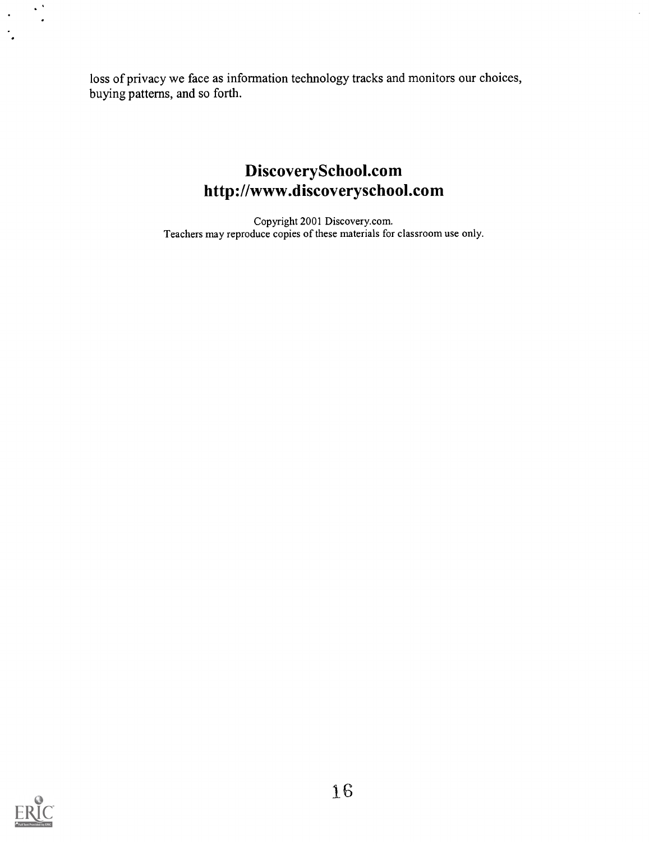loss of privacy we face as information technology tracks and monitors our choices, buying patterns, and so forth.

# DiscoverySchool.com http://www.discoveryschool.com

Copyright 2001 Discovery.com. Teachers may reproduce copies of these materials for classroom use only.



 $\sim$   $^{\circ}$ 

 $\ddot{\phantom{1}}$ 

 $\ddot{\phantom{1}}$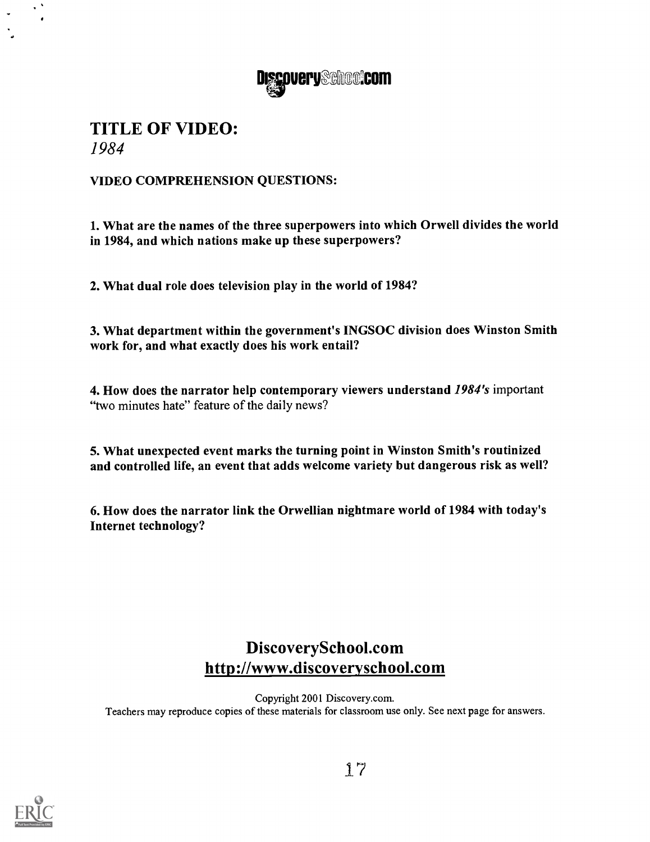

# TITLE OF VIDEO: 1984

VIDEO COMPREHENSION QUESTIONS:

1. What are the names of the three superpowers into which Orwell divides the world in 1984, and which nations make up these superpowers?

2. What dual role does television play in the world of 1984?

3. What department within the government's INGSOC division does Winston Smith work for, and what exactly does his work entail?

4. How does the narrator help contemporary viewers understand 1984's important "two minutes hate" feature of the daily news?

5. What unexpected event marks the turning point in Winston Smith's routinized and controlled life, an event that adds welcome variety but dangerous risk as well?

6. How does the narrator link the Orwellian nightmare world of 1984 with today's Internet technology?

# DiscoverySchool.com http://www.discoveryschool.com

Copyright 2001 Discovery.com. Teachers may reproduce copies of these materials for classroom use only. See next page for answers.